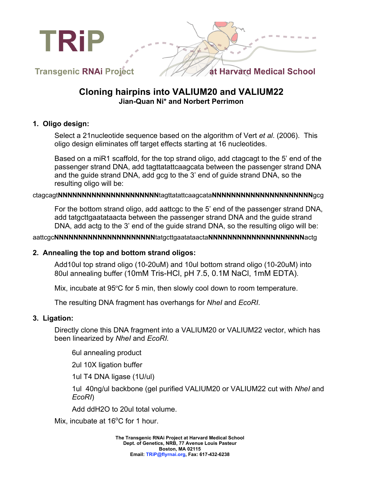



**Transgenic RNAi Project** 

# **Cloning hairpins into VALIUM20 and VALIUM22 Jian-Quan Ni\* and Norbert Perrimon**

### **1. Oligo design:**

Select a 21nucleotide sequence based on the algorithm of Vert *et al*. (2006). This oligo design eliminates off target effects starting at 16 nucleotides.

Based on a miR1 scaffold, for the top strand oligo, add ctagcagt to the 5' end of the passenger strand DNA, add tagttatattcaagcata between the passenger strand DNA and the guide strand DNA, add gcg to the 3' end of guide strand DNA, so the resulting oligo will be:

### ctagcagt**NNNNNNNNNNNNNNNNNNNNN**tagttatattcaagcata**NNNNNNNNNNNNNNNNNNNNN**gcg

For the bottom strand oligo, add aattcgc to the 5' end of the passenger strand DNA, add tatgcttgaatataacta between the passenger strand DNA and the guide strand DNA, add actg to the 3' end of the guide strand DNA, so the resulting oligo will be:

### aattcgc**NNNNNNNNNNNNNNNNNNNNN**tatgcttgaatataacta**NNNNNNNNNNNNNNNNNNNN**actg

### **2. Annealing the top and bottom strand oligos:**

Add10ul top strand oligo (10-20uM) and 10ul bottom strand oligo (10-20uM) into 80ul annealing buffer (10mM Tris-HCl, pH 7.5, 0.1M NaCl, 1mM EDTA).

Mix, incubate at 95ºC for 5 min, then slowly cool down to room temperature.

The resulting DNA fragment has overhangs for *NheI* and *EcoRI*.

### **3. Ligation:**

Directly clone this DNA fragment into a VALIUM20 or VALIUM22 vector, which has been linearized by *NheI* and *EcoRI.*

6ul annealing product

2ul 10X ligation buffer

1ul T4 DNA ligase (1U/ul)

1ul 40ng/ul backbone (gel purified VALIUM20 or VALIUM22 cut with *NheI* and *EcoRI*)

Add ddH2O to 20ul total volume.

Mix, incubate at  $16^{\circ}$ C for 1 hour.